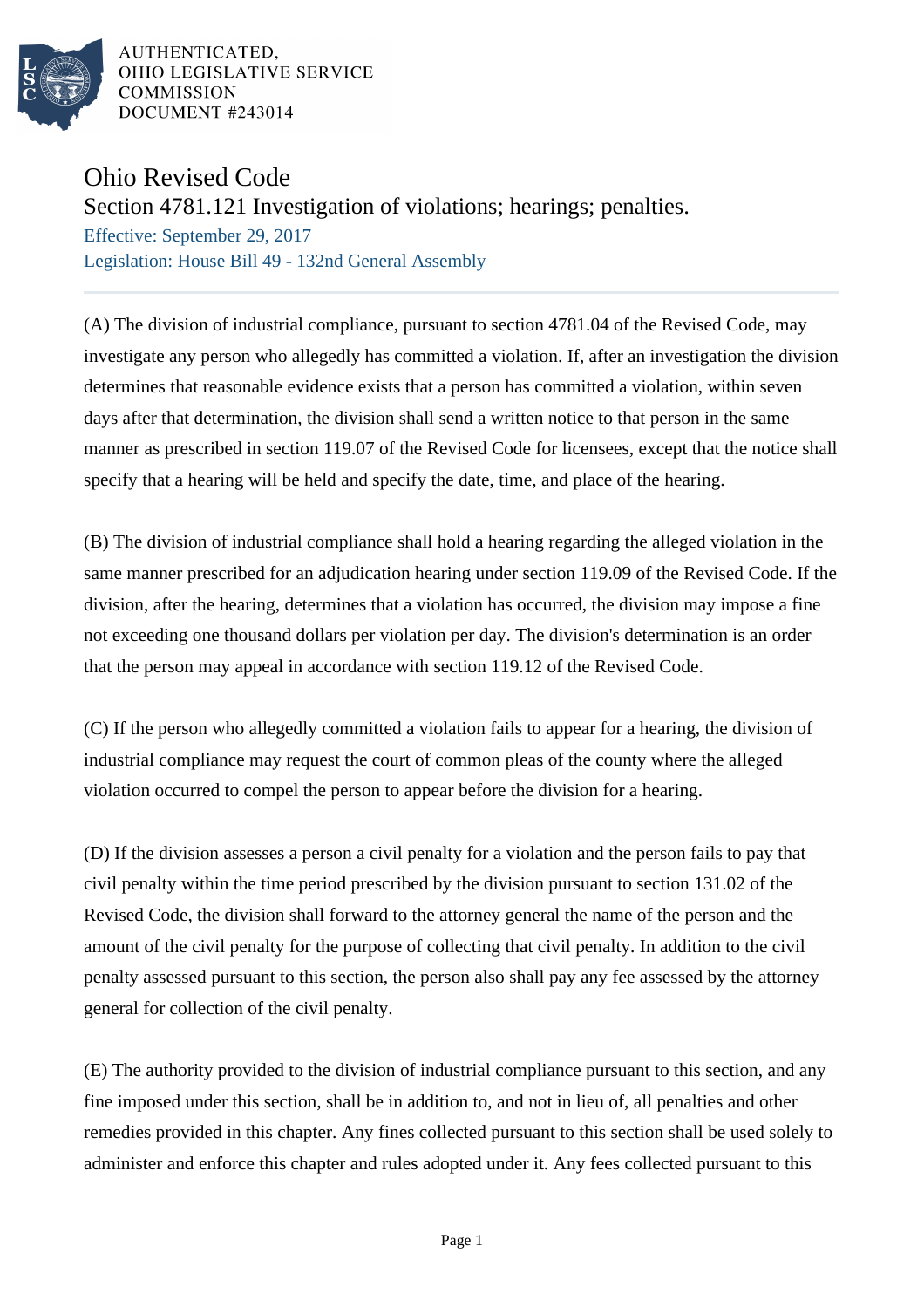

AUTHENTICATED, OHIO LEGISLATIVE SERVICE **COMMISSION** DOCUMENT #243014

## Ohio Revised Code

## Section 4781.121 Investigation of violations; hearings; penalties.

Effective: September 29, 2017 Legislation: House Bill 49 - 132nd General Assembly

(A) The division of industrial compliance, pursuant to section 4781.04 of the Revised Code, may investigate any person who allegedly has committed a violation. If, after an investigation the division determines that reasonable evidence exists that a person has committed a violation, within seven days after that determination, the division shall send a written notice to that person in the same manner as prescribed in section 119.07 of the Revised Code for licensees, except that the notice shall specify that a hearing will be held and specify the date, time, and place of the hearing.

(B) The division of industrial compliance shall hold a hearing regarding the alleged violation in the same manner prescribed for an adjudication hearing under section 119.09 of the Revised Code. If the division, after the hearing, determines that a violation has occurred, the division may impose a fine not exceeding one thousand dollars per violation per day. The division's determination is an order that the person may appeal in accordance with section 119.12 of the Revised Code.

(C) If the person who allegedly committed a violation fails to appear for a hearing, the division of industrial compliance may request the court of common pleas of the county where the alleged violation occurred to compel the person to appear before the division for a hearing.

(D) If the division assesses a person a civil penalty for a violation and the person fails to pay that civil penalty within the time period prescribed by the division pursuant to section 131.02 of the Revised Code, the division shall forward to the attorney general the name of the person and the amount of the civil penalty for the purpose of collecting that civil penalty. In addition to the civil penalty assessed pursuant to this section, the person also shall pay any fee assessed by the attorney general for collection of the civil penalty.

(E) The authority provided to the division of industrial compliance pursuant to this section, and any fine imposed under this section, shall be in addition to, and not in lieu of, all penalties and other remedies provided in this chapter. Any fines collected pursuant to this section shall be used solely to administer and enforce this chapter and rules adopted under it. Any fees collected pursuant to this